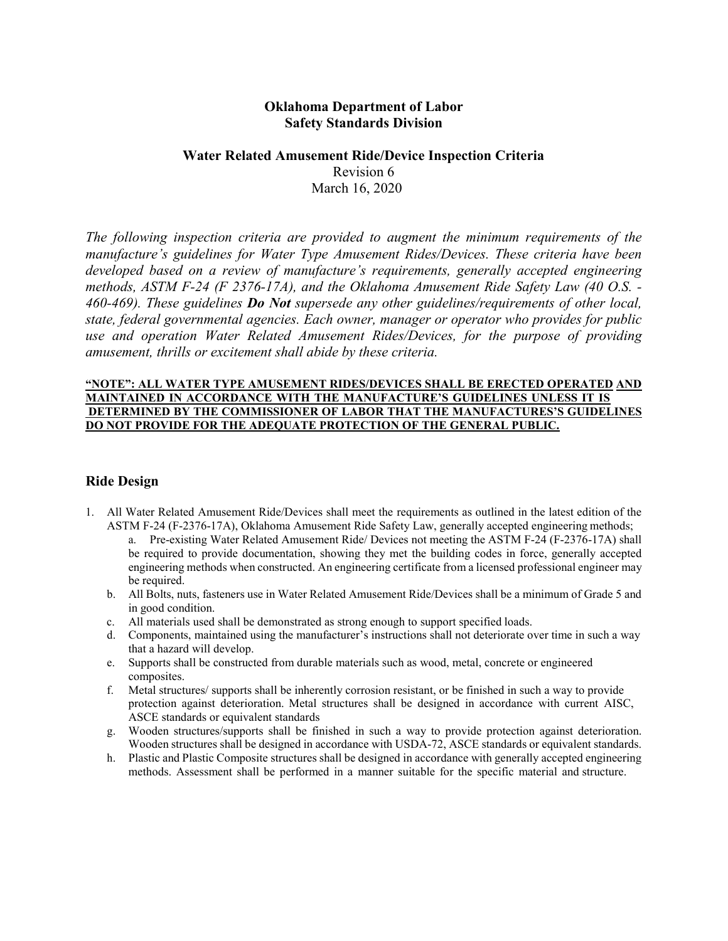## **Oklahoma Department of Labor Safety Standards Division**

# **Water Related Amusement Ride/Device Inspection Criteria**

Revision 6 March 16, 2020

*The following inspection criteria are provided to augment the minimum requirements of the manufacture's guidelines for Water Type Amusement Rides/Devices. These criteria have been developed based on a review of manufacture's requirements, generally accepted engineering methods, ASTM F-24 (F 2376-17A), and the Oklahoma Amusement Ride Safety Law (40 O.S. - 460-469). These guidelines Do Not supersede any other guidelines/requirements of other local, state, federal governmental agencies. Each owner, manager or operator who provides for public use and operation Water Related Amusement Rides/Devices, for the purpose of providing amusement, thrills or excitement shall abide by these criteria.*

## **"NOTE": ALL WATER TYPE AMUSEMENT RIDES/DEVICES SHALL BE ERECTED OPERATED AND MAINTAINED IN ACCORDANCE WITH THE MANUFACTURE'S GUIDELINES UNLESS IT IS DETERMINED BY THE COMMISSIONER OF LABOR THAT THE MANUFACTURES'S GUIDELINES DO NOT PROVIDE FOR THE ADEQUATE PROTECTION OF THE GENERAL PUBLIC.**

# **Ride Design**

- 1. All Water Related Amusement Ride/Devices shall meet the requirements as outlined in the latest edition of the ASTM F-24 (F-2376-17A), Oklahoma Amusement Ride Safety Law, generally accepted engineering methods;
	- a. Pre-existing Water Related Amusement Ride/ Devices not meeting the ASTM F-24 (F-2376-17A) shall be required to provide documentation, showing they met the building codes in force, generally accepted engineering methods when constructed. An engineering certificate from a licensed professional engineer may be required.
	- b. All Bolts, nuts, fasteners use in Water Related Amusement Ride/Devices shall be a minimum of Grade 5 and in good condition.
	- c. All materials used shall be demonstrated as strong enough to support specified loads.
	- d. Components, maintained using the manufacturer's instructions shall not deteriorate over time in such a way that a hazard will develop.
	- e. Supports shall be constructed from durable materials such as wood, metal, concrete or engineered composites.
	- f. Metal structures/ supports shall be inherently corrosion resistant, or be finished in such a way to provide protection against deterioration. Metal structures shall be designed in accordance with current AISC, ASCE standards or equivalent standards
	- g. Wooden structures/supports shall be finished in such a way to provide protection against deterioration. Wooden structures shall be designed in accordance with USDA-72, ASCE standards or equivalent standards.
	- h. Plastic and Plastic Composite structures shall be designed in accordance with generally accepted engineering methods. Assessment shall be performed in a manner suitable for the specific material and structure.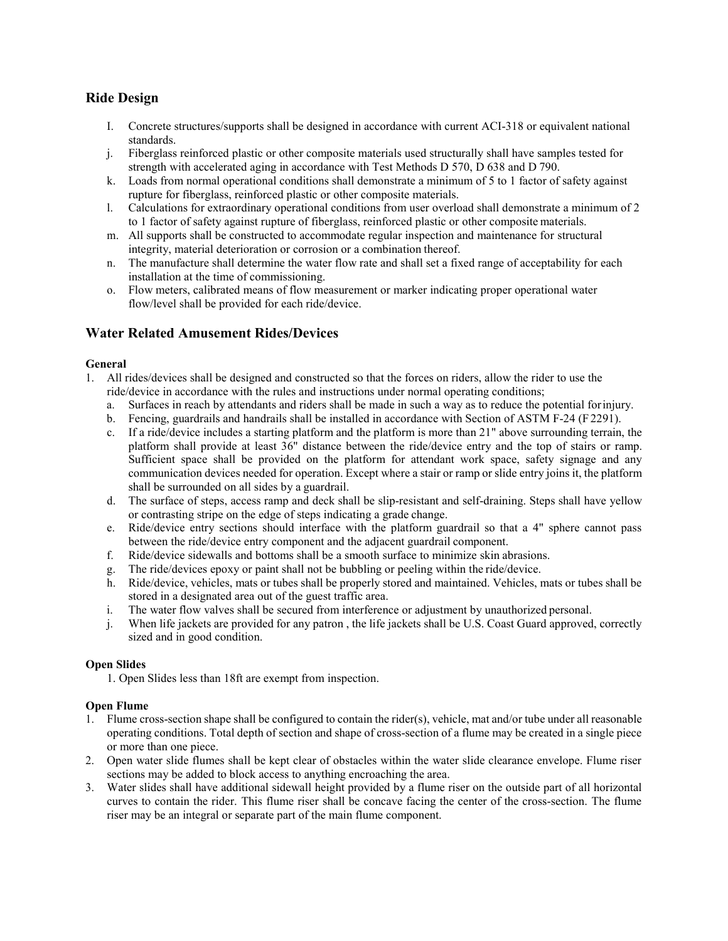# **Ride Design**

- I. Concrete structures/supports shall be designed in accordance with current ACI-318 or equivalent national standards.
- j. Fiberglass reinforced plastic or other composite materials used structurally shall have samples tested for strength with accelerated aging in accordance with Test Methods D 570, D 638 and D 790.
- k. Loads from normal operational conditions shall demonstrate a minimum of 5 to 1 factor of safety against rupture for fiberglass, reinforced plastic or other composite materials.
- l. Calculations for extraordinary operational conditions from user overload shall demonstrate a minimum of 2 to 1 factor of safety against rupture of fiberglass, reinforced plastic or other composite materials.
- m. All supports shall be constructed to accommodate regular inspection and maintenance for structural integrity, material deterioration or corrosion or a combination thereof.
- n. The manufacture shall determine the water flow rate and shall set a fixed range of acceptability for each installation at the time of commissioning.
- o. Flow meters, calibrated means of flow measurement or marker indicating proper operational water flow/level shall be provided for each ride/device.

## **Water Related Amusement Rides/Devices**

## **General**

- 1. All rides/devices shall be designed and constructed so that the forces on riders, allow the rider to use the ride/device in accordance with the rules and instructions under normal operating conditions;
	- a. Surfaces in reach by attendants and riders shall be made in such a way as to reduce the potential forinjury.
	- b. Fencing, guardrails and handrails shall be installed in accordance with Section of ASTM F-24 (F2291).
	- c. If a ride/device includes a starting platform and the platform is more than 21" above surrounding terrain, the platform shall provide at least 36" distance between the ride/device entry and the top of stairs or ramp. Sufficient space shall be provided on the platform for attendant work space, safety signage and any communication devices needed for operation. Except where a stair or ramp or slide entry joins it, the platform shall be surrounded on all sides by a guardrail.
	- d. The surface of steps, access ramp and deck shall be slip-resistant and self-draining. Steps shall have yellow or contrasting stripe on the edge of steps indicating a grade change.
	- e. Ride/device entry sections should interface with the platform guardrail so that a 4" sphere cannot pass between the ride/device entry component and the adjacent guardrail component.
	- f. Ride/device sidewalls and bottoms shall be a smooth surface to minimize skin abrasions.
	- g. The ride/devices epoxy or paint shall not be bubbling or peeling within the ride/device.
	- h. Ride/device, vehicles, mats or tubes shall be properly stored and maintained. Vehicles, mats or tubes shall be stored in a designated area out of the guest traffic area.
	- i. The water flow valves shall be secured from interference or adjustment by unauthorized personal.
	- j. When life jackets are provided for any patron , the life jackets shall be U.S. Coast Guard approved, correctly sized and in good condition.

## **Open Slides**

1. Open Slides less than 18ft are exempt from inspection.

## **Open Flume**

- 1. Flume cross-section shape shall be configured to contain the rider(s), vehicle, mat and/or tube under all reasonable operating conditions. Total depth of section and shape of cross-section of a flume may be created in a single piece or more than one piece.
- 2. Open water slide flumes shall be kept clear of obstacles within the water slide clearance envelope. Flume riser sections may be added to block access to anything encroaching the area.
- 3. Water slides shall have additional sidewall height provided by a flume riser on the outside part of all horizontal curves to contain the rider. This flume riser shall be concave facing the center of the cross-section. The flume riser may be an integral or separate part of the main flume component.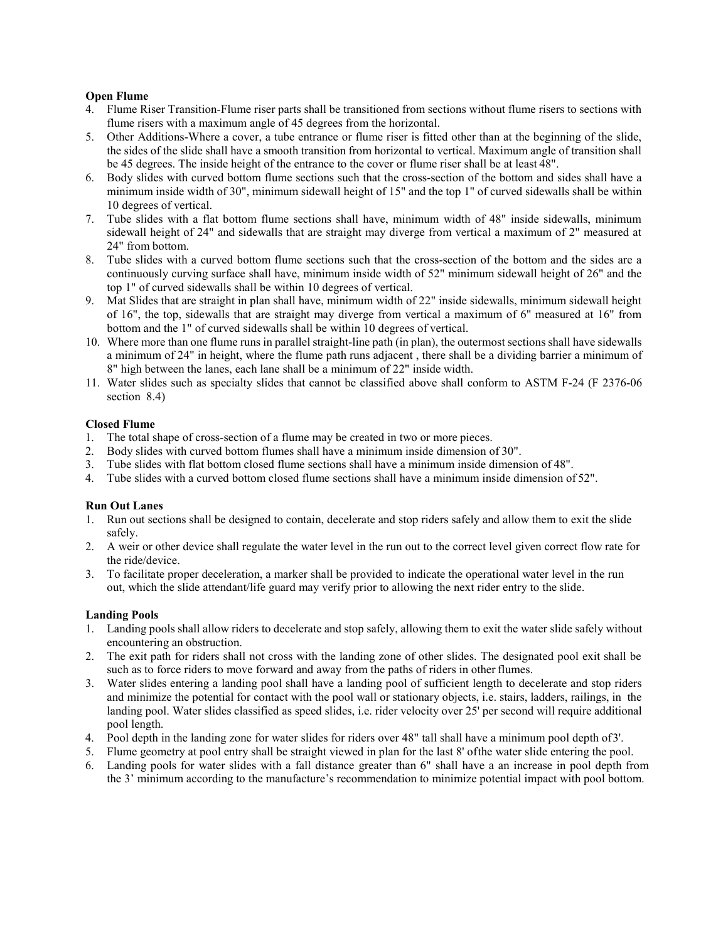## **Open Flume**

- 4. Flume Riser Transition-Flume riser parts shall be transitioned from sections without flume risers to sections with flume risers with a maximum angle of 45 degrees from the horizontal.
- 5. Other Additions-Where a cover, a tube entrance or flume riser is fitted other than at the beginning of the slide, the sides of the slide shall have a smooth transition from horizontal to vertical. Maximum angle of transition shall be 45 degrees. The inside height of the entrance to the cover or flume riser shall be at least 48".
- 6. Body slides with curved bottom flume sections such that the cross-section of the bottom and sides shall have a minimum inside width of 30", minimum sidewall height of 15" and the top 1" of curved sidewalls shall be within 10 degrees of vertical.
- 7. Tube slides with a flat bottom flume sections shall have, minimum width of 48" inside sidewalls, minimum sidewall height of 24" and sidewalls that are straight may diverge from vertical a maximum of 2" measured at 24" from bottom.
- 8. Tube slides with a curved bottom flume sections such that the cross-section of the bottom and the sides are a continuously curving surface shall have, minimum inside width of 52" minimum sidewall height of 26" and the top 1" of curved sidewalls shall be within 10 degrees of vertical.
- 9. Mat Slides that are straight in plan shall have, minimum width of 22" inside sidewalls, minimum sidewall height of 16", the top, sidewalls that are straight may diverge from vertical a maximum of 6" measured at 16" from bottom and the 1" of curved sidewalls shall be within 10 degrees of vertical.
- 10. Where more than one flume runs in parallel straight-line path (in plan), the outermost sections shall have sidewalls a minimum of 24" in height, where the flume path runs adjacent , there shall be a dividing barrier a minimum of 8" high between the lanes, each lane shall be a minimum of 22" inside width.
- 11. Water slides such as specialty slides that cannot be classified above shall conform to ASTM F-24 (F 2376-06 section 8.4)

## **Closed Flume**

- 1. The total shape of cross-section of a flume may be created in two or more pieces.
- 2. Body slides with curved bottom flumes shall have a minimum inside dimension of 30".
- 3. Tube slides with flat bottom closed flume sections shall have a minimum inside dimension of 48".
- 4. Tube slides with a curved bottom closed flume sections shall have a minimum inside dimension of 52".

#### **Run Out Lanes**

- 1. Run out sections shall be designed to contain, decelerate and stop riders safely and allow them to exit the slide safely.
- 2. A weir or other device shall regulate the water level in the run out to the correct level given correct flow rate for the ride/device.
- 3. To facilitate proper deceleration, a marker shall be provided to indicate the operational water level in the run out, which the slide attendant/life guard may verify prior to allowing the next rider entry to the slide.

#### **Landing Pools**

- 1. Landing pools shall allow riders to decelerate and stop safely, allowing them to exit the water slide safely without encountering an obstruction.
- 2. The exit path for riders shall not cross with the landing zone of other slides. The designated pool exit shall be such as to force riders to move forward and away from the paths of riders in other flumes.
- 3. Water slides entering a landing pool shall have a landing pool of sufficient length to decelerate and stop riders and minimize the potential for contact with the pool wall or stationary objects, i.e. stairs, ladders, railings, in the landing pool. Water slides classified as speed slides, i.e. rider velocity over 25' per second will require additional pool length.
- 4. Pool depth in the landing zone for water slides for riders over 48" tall shall have a minimum pool depth of3'.
- 5. Flume geometry at pool entry shall be straight viewed in plan for the last 8' ofthe water slide entering the pool.
- 6. Landing pools for water slides with a fall distance greater than 6" shall have a an increase in pool depth from the 3' minimum according to the manufacture's recommendation to minimize potential impact with pool bottom.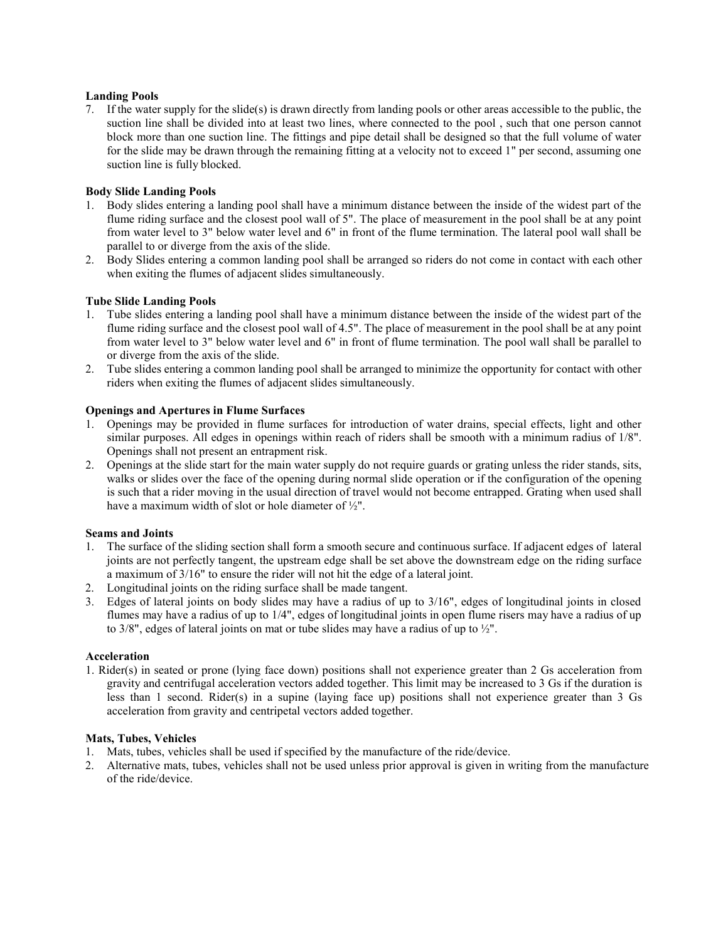## **Landing Pools**

7. If the water supply for the slide(s) is drawn directly from landing pools or other areas accessible to the public, the suction line shall be divided into at least two lines, where connected to the pool , such that one person cannot block more than one suction line. The fittings and pipe detail shall be designed so that the full volume of water for the slide may be drawn through the remaining fitting at a velocity not to exceed 1" per second, assuming one suction line is fully blocked.

## **Body Slide Landing Pools**

- 1. Body slides entering a landing pool shall have a minimum distance between the inside of the widest part of the flume riding surface and the closest pool wall of 5". The place of measurement in the pool shall be at any point from water level to 3" below water level and 6" in front of the flume termination. The lateral pool wall shall be parallel to or diverge from the axis of the slide.
- 2. Body Slides entering a common landing pool shall be arranged so riders do not come in contact with each other when exiting the flumes of adjacent slides simultaneously.

## **Tube Slide Landing Pools**

- 1. Tube slides entering a landing pool shall have a minimum distance between the inside of the widest part of the flume riding surface and the closest pool wall of 4.5". The place of measurement in the pool shall be at any point from water level to 3" below water level and 6" in front of flume termination. The pool wall shall be parallel to or diverge from the axis of the slide.
- 2. Tube slides entering a common landing pool shall be arranged to minimize the opportunity for contact with other riders when exiting the flumes of adjacent slides simultaneously.

#### **Openings and Apertures in Flume Surfaces**

- 1. Openings may be provided in flume surfaces for introduction of water drains, special effects, light and other similar purposes. All edges in openings within reach of riders shall be smooth with a minimum radius of 1/8". Openings shall not present an entrapment risk.
- 2. Openings at the slide start for the main water supply do not require guards or grating unless the rider stands, sits, walks or slides over the face of the opening during normal slide operation or if the configuration of the opening is such that a rider moving in the usual direction of travel would not become entrapped. Grating when used shall have a maximum width of slot or hole diameter of ½".

#### **Seams and Joints**

- 1. The surface of the sliding section shall form a smooth secure and continuous surface. If adjacent edges of lateral joints are not perfectly tangent, the upstream edge shall be set above the downstream edge on the riding surface a maximum of 3/16" to ensure the rider will not hit the edge of a lateral joint.
- 2. Longitudinal joints on the riding surface shall be made tangent.
- 3. Edges of lateral joints on body slides may have a radius of up to 3/16", edges of longitudinal joints in closed flumes may have a radius of up to 1/4", edges of longitudinal joints in open flume risers may have a radius of up to 3/8", edges of lateral joints on mat or tube slides may have a radius of up to ½".

#### **Acceleration**

1. Rider(s) in seated or prone (lying face down) positions shall not experience greater than 2 Gs acceleration from gravity and centrifugal acceleration vectors added together. This limit may be increased to 3 Gs if the duration is less than 1 second. Rider(s) in a supine (laying face up) positions shall not experience greater than 3 Gs acceleration from gravity and centripetal vectors added together.

## **Mats, Tubes, Vehicles**

- 1. Mats, tubes, vehicles shall be used if specified by the manufacture of the ride/device.
- 2. Alternative mats, tubes, vehicles shall not be used unless prior approval is given in writing from the manufacture of the ride/device.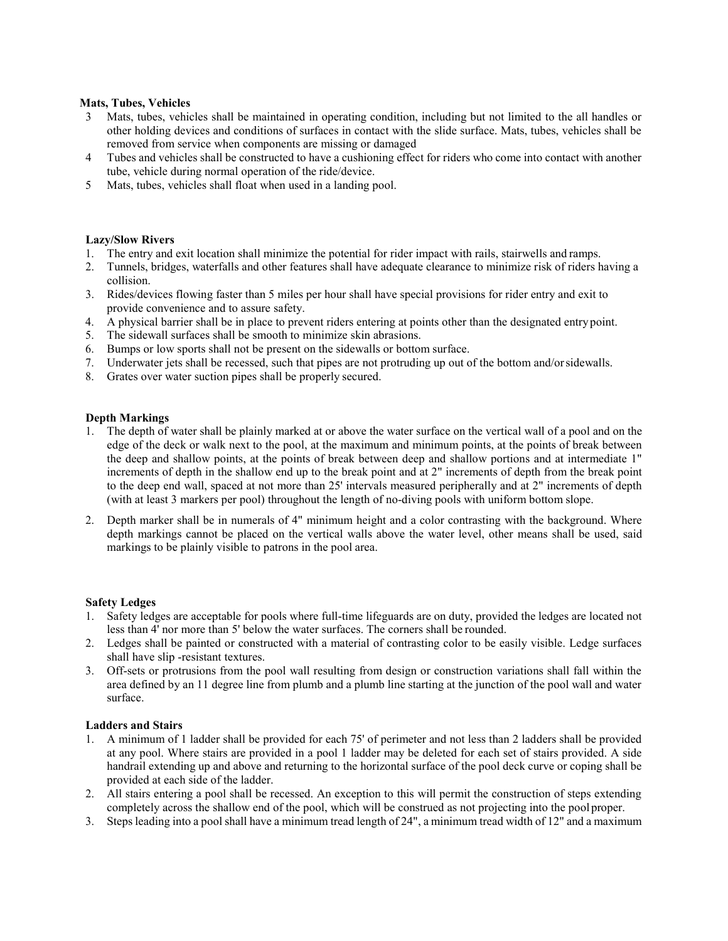#### **Mats, Tubes, Vehicles**

- 3 Mats, tubes, vehicles shall be maintained in operating condition, including but not limited to the all handles or other holding devices and conditions of surfaces in contact with the slide surface. Mats, tubes, vehicles shall be removed from service when components are missing or damaged
- 4 Tubes and vehicles shall be constructed to have a cushioning effect for riders who come into contact with another tube, vehicle during normal operation of the ride/device.
- 5 Mats, tubes, vehicles shall float when used in a landing pool.

#### **Lazy/Slow Rivers**

- 1. The entry and exit location shall minimize the potential for rider impact with rails, stairwells and ramps.
- 2. Tunnels, bridges, waterfalls and other features shall have adequate clearance to minimize risk of riders having a collision.
- 3. Rides/devices flowing faster than 5 miles per hour shall have special provisions for rider entry and exit to provide convenience and to assure safety.
- 4. A physical barrier shall be in place to prevent riders entering at points other than the designated entrypoint.
- 5. The sidewall surfaces shall be smooth to minimize skin abrasions.
- 6. Bumps or low sports shall not be present on the sidewalls or bottom surface.
- 7. Underwater jets shall be recessed, such that pipes are not protruding up out of the bottom and/orsidewalls.
- 8. Grates over water suction pipes shall be properly secured.

## **Depth Markings**

- 1. The depth of water shall be plainly marked at or above the water surface on the vertical wall of a pool and on the edge of the deck or walk next to the pool, at the maximum and minimum points, at the points of break between the deep and shallow points, at the points of break between deep and shallow portions and at intermediate 1" increments of depth in the shallow end up to the break point and at 2" increments of depth from the break point to the deep end wall, spaced at not more than 25' intervals measured peripherally and at 2" increments of depth (with at least 3 markers per pool) throughout the length of no-diving pools with uniform bottom slope.
- 2. Depth marker shall be in numerals of 4" minimum height and a color contrasting with the background. Where depth markings cannot be placed on the vertical walls above the water level, other means shall be used, said markings to be plainly visible to patrons in the pool area.

#### **Safety Ledges**

- 1. Safety ledges are acceptable for pools where full-time lifeguards are on duty, provided the ledges are located not less than 4' nor more than 5' below the water surfaces. The corners shall be rounded.
- 2. Ledges shall be painted or constructed with a material of contrasting color to be easily visible. Ledge surfaces shall have slip -resistant textures.
- 3. Off-sets or protrusions from the pool wall resulting from design or construction variations shall fall within the area defined by an 11 degree line from plumb and a plumb line starting at the junction of the pool wall and water surface.

## **Ladders and Stairs**

- 1. A minimum of 1 ladder shall be provided for each 75' of perimeter and not less than 2 ladders shall be provided at any pool. Where stairs are provided in a pool 1 ladder may be deleted for each set of stairs provided. A side handrail extending up and above and returning to the horizontal surface of the pool deck curve or coping shall be provided at each side of the ladder.
- 2. All stairs entering a pool shall be recessed. An exception to this will permit the construction of steps extending completely across the shallow end of the pool, which will be construed as not projecting into the pool proper.
- 3. Steps leading into a pool shall have a minimum tread length of 24", a minimum tread width of 12" and a maximum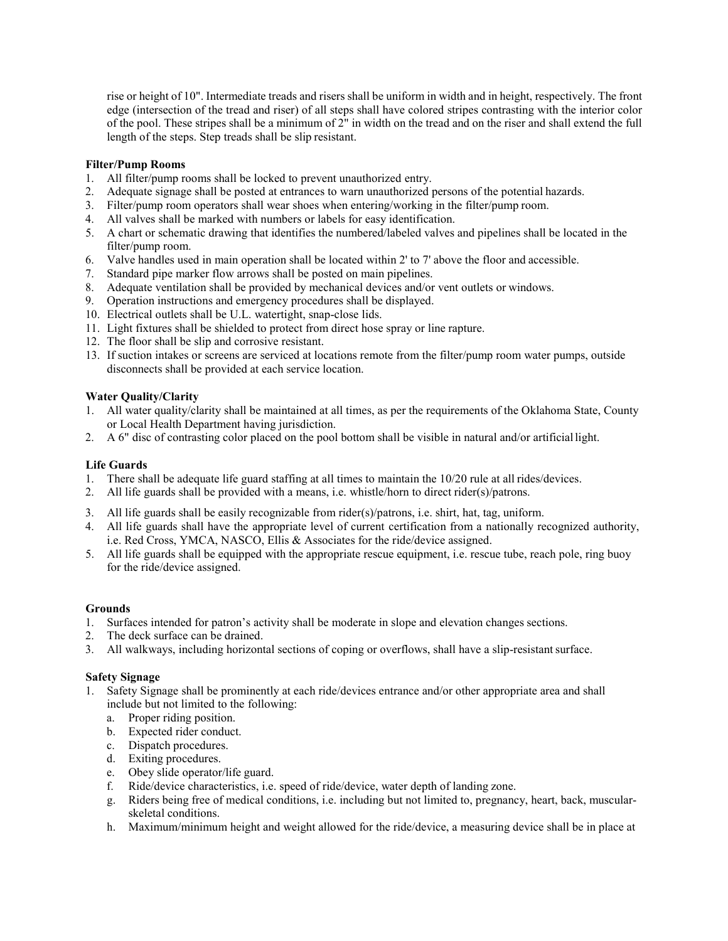rise or height of 10". Intermediate treads and risers shall be uniform in width and in height, respectively. The front edge (intersection of the tread and riser) of all steps shall have colored stripes contrasting with the interior color of the pool. These stripes shall be a minimum of 2" in width on the tread and on the riser and shall extend the full length of the steps. Step treads shall be slip resistant.

## **Filter/Pump Rooms**

- 1. All filter/pump rooms shall be locked to prevent unauthorized entry.
- 2. Adequate signage shall be posted at entrances to warn unauthorized persons of the potential hazards.
- 3. Filter/pump room operators shall wear shoes when entering/working in the filter/pump room.
- 4. All valves shall be marked with numbers or labels for easy identification.
- 5. A chart or schematic drawing that identifies the numbered/labeled valves and pipelines shall be located in the filter/pump room.
- 6. Valve handles used in main operation shall be located within 2' to 7' above the floor and accessible.
- 7. Standard pipe marker flow arrows shall be posted on main pipelines.
- 8. Adequate ventilation shall be provided by mechanical devices and/or vent outlets or windows.
- 9. Operation instructions and emergency procedures shall be displayed.
- 10. Electrical outlets shall be U.L. watertight, snap-close lids.
- 11. Light fixtures shall be shielded to protect from direct hose spray or line rapture.
- 12. The floor shall be slip and corrosive resistant.
- 13. If suction intakes or screens are serviced at locations remote from the filter/pump room water pumps, outside disconnects shall be provided at each service location.

## **Water Quality/Clarity**

- 1. All water quality/clarity shall be maintained at all times, as per the requirements of the Oklahoma State, County or Local Health Department having jurisdiction.
- 2. A 6" disc of contrasting color placed on the pool bottom shall be visible in natural and/or artificiallight.

## **Life Guards**

- 1. There shall be adequate life guard staffing at all times to maintain the 10/20 rule at all rides/devices.
- 2. All life guards shall be provided with a means, i.e. whistle/horn to direct rider(s)/patrons.
- 3. All life guards shall be easily recognizable from rider(s)/patrons, i.e. shirt, hat, tag, uniform.
- 4. All life guards shall have the appropriate level of current certification from a nationally recognized authority, i.e. Red Cross, YMCA, NASCO, Ellis & Associates for the ride/device assigned.
- 5. All life guards shall be equipped with the appropriate rescue equipment, i.e. rescue tube, reach pole, ring buoy for the ride/device assigned.

## **Grounds**

- 1. Surfaces intended for patron's activity shall be moderate in slope and elevation changes sections.
- 2. The deck surface can be drained.
- 3. All walkways, including horizontal sections of coping or overflows, shall have a slip-resistantsurface.

## **Safety Signage**

- 1. Safety Signage shall be prominently at each ride/devices entrance and/or other appropriate area and shall include but not limited to the following:
	- a. Proper riding position.
	- b. Expected rider conduct.
	- c. Dispatch procedures.
	- d. Exiting procedures.
	- e. Obey slide operator/life guard.
	- f. Ride/device characteristics, i.e. speed of ride/device, water depth of landing zone.
	- g. Riders being free of medical conditions, i.e. including but not limited to, pregnancy, heart, back, muscularskeletal conditions.
	- h. Maximum/minimum height and weight allowed for the ride/device, a measuring device shall be in place at